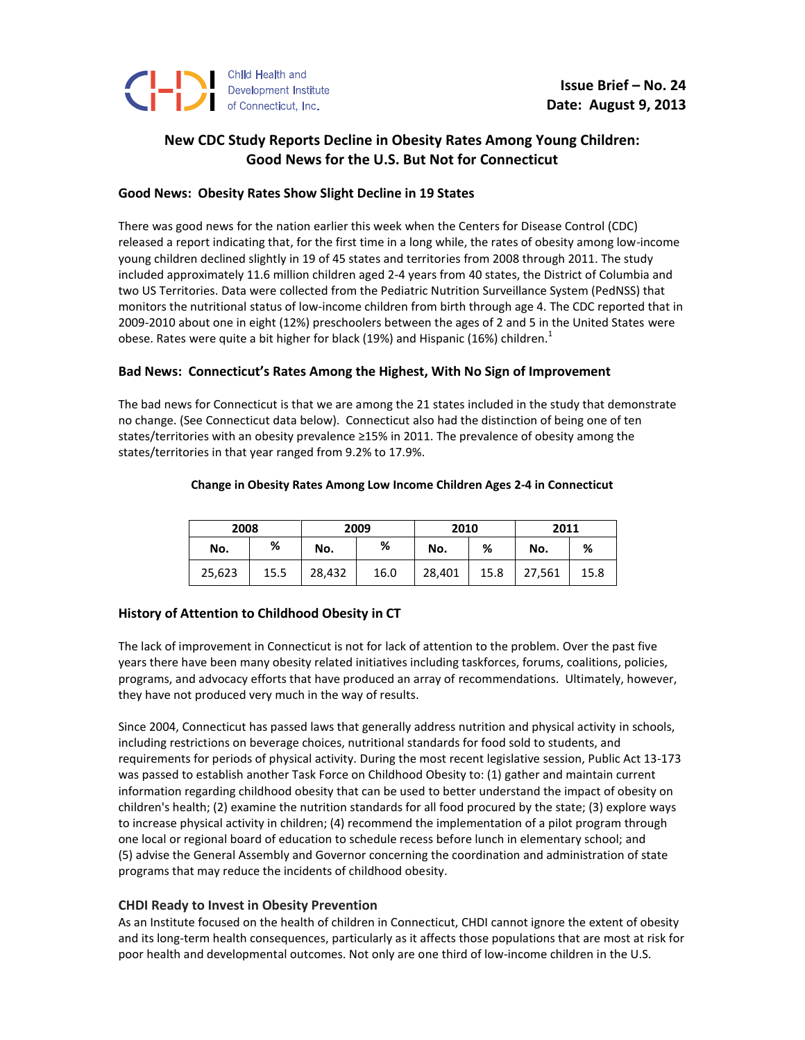

# **New CDC Study Reports Decline in Obesity Rates Among Young Children: Good News for the U.S. But Not for Connecticut**

## **Good News: Obesity Rates Show Slight Decline in 19 States**

There was good news for the nation earlier this week when the Centers for Disease Control (CDC) released a report indicating that, for the first time in a long while, the rates of obesity among low-income young children declined slightly in 19 of 45 states and territories from 2008 through 2011. The study included approximately 11.6 million children aged 2-4 years from 40 states, the District of Columbia and two US Territories. Data were collected from the Pediatric Nutrition Surveillance System (PedNSS) that monitors the nutritional status of low-income children from birth through age 4. The CDC reported that in 2009-2010 about one in eight (12%) preschoolers between the ages of 2 and 5 in the United States were obese. Rates were quite a bit higher for black (19%) and Hispanic (16%) children.<sup>1</sup>

### **Bad News: Connecticut's Rates Among the Highest, With No Sign of Improvement**

The bad news for Connecticut is that we are among the 21 states included in the study that demonstrate no change. (See Connecticut data below). Connecticut also had the distinction of being one of ten states/territories with an obesity prevalence ≥15% in 2011. The prevalence of obesity among the states/territories in that year ranged from 9.2% to 17.9%.

#### **Change in Obesity Rates Among Low Income Children Ages 2-4 in Connecticut**

| 2008   |      | 2009   |      | 2010   |      | 2011   |      |
|--------|------|--------|------|--------|------|--------|------|
| No.    | %    | No.    | %    | No.    | %    | No.    | %    |
| 25,623 | 15.5 | 28,432 | 16.0 | 28,401 | 15.8 | 27,561 | 15.8 |

## **History of Attention to Childhood Obesity in CT**

The lack of improvement in Connecticut is not for lack of attention to the problem. Over the past five years there have been many obesity related initiatives including taskforces, forums, coalitions, policies, programs, and advocacy efforts that have produced an array of recommendations. Ultimately, however, they have not produced very much in the way of results.

Since 2004, Connecticut has passed laws that generally address nutrition and physical activity in schools, including restrictions on beverage choices, nutritional standards for food sold to students, and requirements for periods of physical activity. During the most recent legislative session, Public Act 13-173 was passed to establish another Task Force on Childhood Obesity to: (1) gather and maintain current information regarding childhood obesity that can be used to better understand the impact of obesity on children's health; (2) examine the nutrition standards for all food procured by the state; (3) explore ways to increase physical activity in children; (4) recommend the implementation of a pilot program through one local or regional board of education to schedule recess before lunch in elementary school; and (5) advise the General Assembly and Governor concerning the coordination and administration of state programs that may reduce the incidents of childhood obesity.

## **CHDI Ready to Invest in Obesity Prevention**

As an Institute focused on the health of children in Connecticut, CHDI cannot ignore the extent of obesity and its long-term health consequences, particularly as it affects those populations that are most at risk for poor health and developmental outcomes. Not only are one third of low-income children in the U.S.